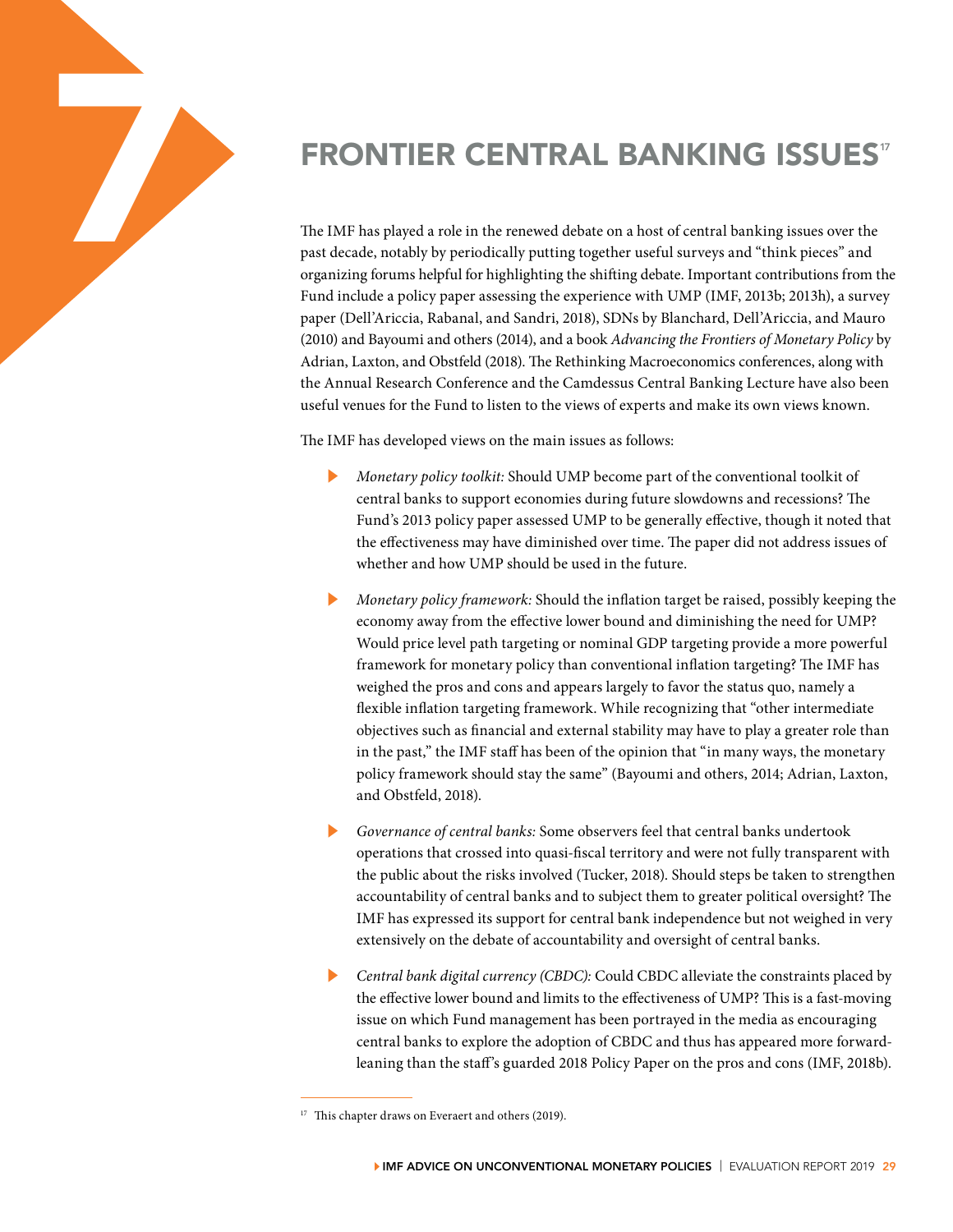

The IMF has played a role in the renewed debate on a host of central banking issues over the past decade, notably by periodically putting together useful surveys and "think pieces" and organizing forums helpful for highlighting the shifting debate. Important contributions from the Fund include a policy paper assessing the experience with UMP (IMF, 2013b; 2013h), a survey paper (Dell'Ariccia, Rabanal, and Sandri, 2018), SDNs by Blanchard, Dell'Ariccia, and Mauro (2010) and Bayoumi and others (2014), and a book *Advancing the Frontiers of Monetary Policy* by Adrian, Laxton, and Obstfeld (2018). The Rethinking Macroeconomics conferences, along with the Annual Research Conference and the Camdessus Central Banking Lecture have also been useful venues for the Fund to listen to the views of experts and make its own views known.

The IMF has developed views on the main issues as follows:

- ▶ *Monetary policy toolkit:* Should UMP become part of the conventional toolkit of central banks to support economies during future slowdowns and recessions? The Fund's 2013 policy paper assessed UMP to be generally effective, though it noted that the effectiveness may have diminished over time. The paper did not address issues of whether and how UMP should be used in the future.
- ▶ *Monetary policy framework:* Should the inflation target be raised, possibly keeping the economy away from the effective lower bound and diminishing the need for UMP? Would price level path targeting or nominal GDP targeting provide a more powerful framework for monetary policy than conventional inflation targeting? The IMF has weighed the pros and cons and appears largely to favor the status quo, namely a flexible inflation targeting framework. While recognizing that "other intermediate objectives such as financial and external stability may have to play a greater role than in the past," the IMF staff has been of the opinion that "in many ways, the monetary policy framework should stay the same" (Bayoumi and others, 2014; Adrian, Laxton, and Obstfeld, 2018).
- Governance of central banks: Some observers feel that central banks undertook operations that crossed into quasi-fiscal territory and were not fully transparent with the public about the risks involved (Tucker, 2018). Should steps be taken to strengthen accountability of central banks and to subject them to greater political oversight? The IMF has expressed its support for central bank independence but not weighed in very extensively on the debate of accountability and oversight of central banks.
- Central bank digital currency (CBDC): Could CBDC alleviate the constraints placed by the effective lower bound and limits to the effectiveness of UMP? This is a fast-moving issue on which Fund management has been portrayed in the media as encouraging central banks to explore the adoption of CBDC and thus has appeared more forwardleaning than the staff's guarded 2018 Policy Paper on the pros and cons (IMF, 2018b).

<sup>&</sup>lt;sup>17</sup> This chapter draws on Everaert and others (2019).